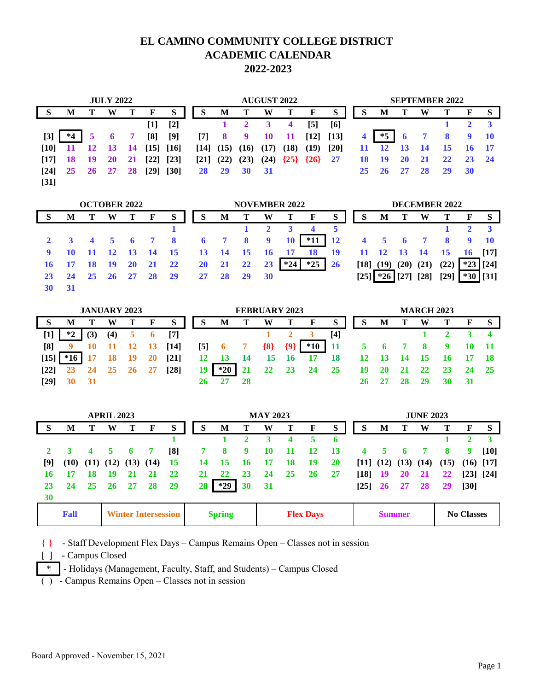## **EL CAMINO COMMUNITY COLLEGE DISTRICT ACADEMIC CALENDAR 2022-2023**

| <b>JULY 2022</b>   |      |    |           |    |                    |        | <b>AUGUST 2022</b> |           |      |           |        |        | <b>SEPTEMBER 2022</b> |                |           |           |           |    |           |              |
|--------------------|------|----|-----------|----|--------------------|--------|--------------------|-----------|------|-----------|--------|--------|-----------------------|----------------|-----------|-----------|-----------|----|-----------|--------------|
|                    | M    |    | W         | т  | F                  | S      | S                  | M         | т    | W         |        | F      | S                     | S              | M         |           | W         |    | F         | S            |
|                    |      |    |           |    | $[1]$              | $[2]$  |                    |           |      |           | 4      | [5]    | [6]                   |                |           |           |           |    |           |              |
| $[3]$              | $*4$ | 5  |           |    | [8]                | $[9]$  | $[7]$              | -8        | 9    | <b>10</b> | -11    | $[12]$ | $[13]$                | $\overline{4}$ | $*5$      | 6         |           |    | -9        | -10          |
| [10]               | 11   |    | <b>13</b> | 14 | $[15]$             | [16]   | $\lceil 14 \rceil$ | (15)      | (16) | (17)      | (18)   | (19)   | $[20]$                | 11             | 12        | <b>13</b> | - 14      | 15 |           | <b>16 17</b> |
| [17]               | 18   | 19 | <b>20</b> | 21 | $[22]$             | $[23]$ | $\lceil 21 \rceil$ | (22)      | (23) | (24)      | ${25}$ | {26}   | 27                    | 18             | 19        | 20        | 21        | 22 | <b>23</b> | 24           |
| $\lceil 24 \rceil$ | 25   | 26 | 27        | 28 | $\lceil 29 \rceil$ | [30]   | 28                 | <b>29</b> | 30   | 31        |        |        |                       | 25             | <b>26</b> | 27        | <b>28</b> | 29 | <b>30</b> |              |
| $[31]$             |      |    |           |    |                    |        |                    |           |      |           |        |        |                       |                |           |           |           |    |           |              |

| <b>OCTOBER 2022</b> |                |                   |           |           |                 |           |           | <b>NOVEMBER 2022</b> |                         |                |       |                         |           |                     |                                              | <b>DECEMBER 2022</b> |           |                            |                |            |  |  |
|---------------------|----------------|-------------------|-----------|-----------|-----------------|-----------|-----------|----------------------|-------------------------|----------------|-------|-------------------------|-----------|---------------------|----------------------------------------------|----------------------|-----------|----------------------------|----------------|------------|--|--|
| -S                  | М              |                   | W         |           | F               | S         | S         | M                    |                         | W              |       | $\mathbf{F}$            | S         | S                   | M                                            |                      | W         |                            | F              |            |  |  |
|                     |                |                   |           |           |                 |           |           |                      |                         |                |       | $\overline{\mathbf{4}}$ | 5         |                     |                                              |                      |           |                            |                |            |  |  |
|                     |                | $4\quad 5\quad 6$ |           |           | <b>7</b> 8      |           | -6        | $\overline{7}$       | $\overline{\mathbf{8}}$ | $\overline{9}$ | 10    | $*11$                   | <b>12</b> | $4 \quad 5 \quad 6$ |                                              |                      |           | $\overline{\phantom{0}}$ 8 | $\overline{9}$ | <b>10</b>  |  |  |
|                     |                |                   |           | -13       | $\overline{14}$ | 15        | 13        | - 14                 | 15                      | <b>16</b>      |       | 18                      | <b>19</b> | 11                  | $\overline{12}$                              | <b>13</b>            | - 14      | 15                         | 16 [17]        |            |  |  |
|                     | $\frac{17}{2}$ | <b>18</b>         | <b>19</b> | <b>20</b> | 21              | 22        | <b>20</b> | 21                   | 22                      | 23             | $*24$ | $*25$                   | <b>26</b> | $[18]$              | $(19)$ $(20)$ $(21)$                         |                      |           | (22)                       | $*23$          | $[24]$     |  |  |
|                     | 24             | 25                | <b>26</b> | 27        | <b>28</b>       | <b>29</b> | 27        | 28                   | 29                      | 30             |       |                         |           |                     | $\lceil 25 \rceil \cdot \sqrt[3]{26} \rceil$ |                      | [27] [28] | [29]                       |                | $*30$ [31] |  |  |
|                     |                |                   |           |           |                 |           |           |                      |                         |                |       |                         |           |                     |                                              |                      |           |                            |                |            |  |  |

| <b>JANUARY 2023</b> |           |                 |       |      |             |                    | <b>FEBRUARY 2023</b> |           |                 |         |           |                 |           |    | <b>MARCH 2023</b> |     |      |           |     |  |  |
|---------------------|-----------|-----------------|-------|------|-------------|--------------------|----------------------|-----------|-----------------|---------|-----------|-----------------|-----------|----|-------------------|-----|------|-----------|-----|--|--|
|                     | M         |                 | W     |      | F           | S                  | S                    | M         |                 | W       |           | F               | S         |    | M                 |     | W    |           | F   |  |  |
|                     | ネク        | (3)             | (4)   |      | $\mathbf o$ | [7]                |                      |           |                 |         |           |                 | [4]       |    |                   |     |      |           |     |  |  |
| [8]                 | $9 \t10$  |                 | 11 12 |      | 13          | $[14]$             | $\left[5\right]$     | $\bullet$ |                 | $\{8\}$ | ${9}$     | $*10$           | -11       |    | $\bullet$         |     | - 8  | -9        |     |  |  |
| $[15]$              |           |                 |       |      |             | $\lceil 21 \rceil$ | 12 <sup>7</sup>      | <b>13</b> | $\overline{14}$ | 15      | <b>16</b> | 17              | <b>18</b> |    |                   | 14  |      | 16        |     |  |  |
| $\lceil 22 \rceil$  | <b>23</b> | $\overline{24}$ | - 25  | - 26 | - 27        | [28]               | 19 I                 | $*20$     | <b>21</b>       | 22      | 23        | $\overline{24}$ | - 25      | 19 | <b>20</b>         | -21 | - 22 | <b>23</b> | 24  |  |  |
| [29]                |           |                 |       |      |             |                    |                      |           |                 |         |           |                 |           |    |                   |     | 29   | 30        | -31 |  |  |

| <b>APRIL 2023</b> |             |                                    |            |    |                            |           |    | <b>MAY 2023</b> |           |           |           |                  |           |                | <b>JUNE 2023</b>            |               |           |      |                   |                    |  |
|-------------------|-------------|------------------------------------|------------|----|----------------------------|-----------|----|-----------------|-----------|-----------|-----------|------------------|-----------|----------------|-----------------------------|---------------|-----------|------|-------------------|--------------------|--|
| S                 | М           |                                    | W          |    | F                          | S         | S  | M               | т         | W         |           | F                | ${\bf S}$ | S              | M                           |               | W         | т    | F                 | S                  |  |
|                   |             |                                    |            |    |                            |           |    |                 |           | 3         | 4         | 5                | 6         |                |                             |               |           |      |                   |                    |  |
|                   |             | $\overline{\mathbf{4}}$            | $5\quad 6$ |    |                            | [8]       |    | 8               | 9         | 10        | -11       | <b>12</b>        | -13       | $\overline{4}$ | 5.                          | $\sqrt{2}$    |           | 8    | 9                 | $\lceil 10 \rceil$ |  |
| [9]               |             | $(10)$ $(11)$ $(12)$ $(13)$ $(14)$ |            |    |                            | - 15      | 14 | 15              | 16        | 17        | 18        | 19               | <b>20</b> |                | $[11]$ $(12)$ $(13)$ $(14)$ |               |           | (15) |                   | $(16)$ [17]        |  |
| 16                | 17          | 18                                 | 19         | 21 | 21                         | 22        | 21 | 22              | <b>23</b> | 24        | <b>25</b> | <b>26</b>        | 27        |                | $[18]$ 19                   | <b>20</b>     | 21        | 22   |                   | [23] [24]          |  |
| 23                | 24          | -25                                | <b>26</b>  | 27 | 28                         | <b>29</b> | 28 | $*29$           | 30        | <b>31</b> |           |                  |           |                | $[25]$ 26                   | <b>27</b>     | <b>28</b> | 29   | [30]              |                    |  |
| 30                |             |                                    |            |    |                            |           |    |                 |           |           |           |                  |           |                |                             |               |           |      |                   |                    |  |
|                   | <b>Fall</b> |                                    |            |    | <b>Winter Intersession</b> |           |    | <b>Spring</b>   |           |           |           | <b>Flex Days</b> |           |                |                             | <b>Summer</b> |           |      | <b>No Classes</b> |                    |  |

{ } - Staff Development Flex Days – Campus Remains Open – Classes not in session

[ ] - Campus Closed

\* - Holidays (Management, Faculty, Staff, and Students) – Campus Closed

( ) - Campus Remains Open – Classes not in session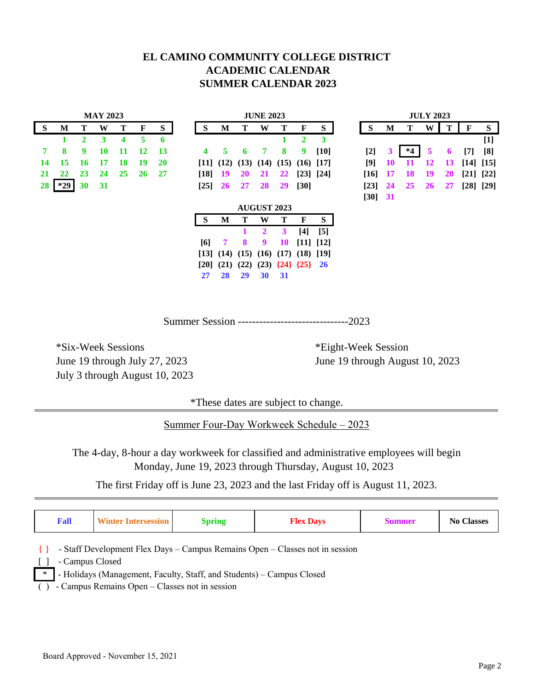#### **EL CAMINO COMMUNITY COLLEGE DISTRICT ACADEMIC CALENDAR SUMMER CALENDAR 2023**

|             | <b>MAY 2023</b> |    |    |    |              |           |              | <b>JUNE 2023</b> |           |           |                             |                                    |             |             | <b>JULY 2023</b> |         |    |      |           |           |             |       |
|-------------|-----------------|----|----|----|--------------|-----------|--------------|------------------|-----------|-----------|-----------------------------|------------------------------------|-------------|-------------|------------------|---------|----|------|-----------|-----------|-------------|-------|
| $\mathbf S$ | M               |    | W  | т  | $\mathbf{F}$ | S         | <sub>S</sub> |                  | M         | Т         | W                           | т                                  | $\mathbf F$ | S           |                  | S       | M  | т    | W         | Т         | $\mathbf F$ | S     |
|             |                 | 2  | 3  | 4  | 5            | 6         |              |                  |           |           |                             |                                    | 2           | 3           |                  |         |    |      |           |           |             | $[1]$ |
| 7           | 8               | 9  | 10 | 11 | 12           | 13        | 4            |                  | 5.        | 6         | 7                           | 8                                  | 9           | $[10]$      |                  | $[2]$   | 3  | $*4$ | 5         | 6         | $[7]$       | [8]   |
| 14          | 15              | 16 | 17 | 18 | 19           | <b>20</b> |              |                  |           |           | $[11]$ $(12)$ $(13)$ $(14)$ | (15)                               |             | $(16)$ [17] |                  | [9]     | 10 | 11   | 12        | <b>13</b> | [14] [15]   |       |
| 21          | 22              | 23 | 24 | 25 | <b>26</b>    | 27        | $[18]$       |                  | 19        | <b>20</b> | 21                          | 22                                 |             | [23] [24]   |                  | $[16]$  | 17 | 18   | 19        | 20        | [21] [22]   |       |
| 28          | $*29$           | 30 | 31 |    |              |           | $[25]$       |                  | <b>26</b> | 27        | 28                          | 29                                 | $[30]$      |             |                  | $[23]$  | 24 | 25   | <b>26</b> | 27        | [28] [29]   |       |
|             |                 |    |    |    |              |           |              |                  |           |           |                             |                                    |             |             |                  | [30] 31 |    |      |           |           |             |       |
|             |                 |    |    |    |              |           |              |                  |           |           | <b>AUGUST 2023</b>          |                                    |             |             |                  |         |    |      |           |           |             |       |
|             |                 |    |    |    |              |           | <sub>S</sub> |                  | M         | Т         | W                           | Т                                  | F           | S           |                  |         |    |      |           |           |             |       |
|             |                 |    |    |    |              |           |              |                  |           | 1         | $\mathbf{2}$                | 3                                  | $[4]$       | [5]         |                  |         |    |      |           |           |             |       |
|             |                 |    |    |    |              |           | [6]          |                  | 7         | 8         | 9                           | 10                                 |             | [11] [12]   |                  |         |    |      |           |           |             |       |
|             |                 |    |    |    |              |           |              |                  |           |           |                             | $[13]$ $(14)$ $(15)$ $(16)$ $(17)$ |             | $(18)$ [19] |                  |         |    |      |           |           |             |       |
|             |                 |    |    |    |              |           | [20]         |                  | (21)      | (22)      |                             | $(23) \{24\} \{25\}$ 26            |             |             |                  |         |    |      |           |           |             |       |
|             |                 |    |    |    |              |           | 27           |                  | 28        | 29        | 30                          | 31                                 |             |             |                  |         |    |      |           |           |             |       |

Summer Session -------------------------------2023

\*Six-Week Sessions \*Eight-Week Session July 3 through August 10, 2023

June 19 through July 27, 2023 June 19 through August 10, 2023

\*These dates are subject to change.

Summer Four-Day Workweek Schedule – 2023

The 4-day, 8-hour a day workweek for classified and administrative employees will begin Monday, June 19, 2023 through Thursday, August 10, 2023

The first Friday off is June 23, 2023 and the last Friday off is August 11, 2023.

| <b>Fall</b>               | <b>Winter Intersession</b>                     | <b>Spring</b>                                                         | <b>Flex Days</b>                                                             | <b>Summer</b> | <b>No Classes</b> |
|---------------------------|------------------------------------------------|-----------------------------------------------------------------------|------------------------------------------------------------------------------|---------------|-------------------|
| - Campus Closed<br>$\ast$ | - Campus Remains Open – Classes not in session | - Holidays (Management, Faculty, Staff, and Students) - Campus Closed | - Staff Development Flex Days – Campus Remains Open – Classes not in session |               |                   |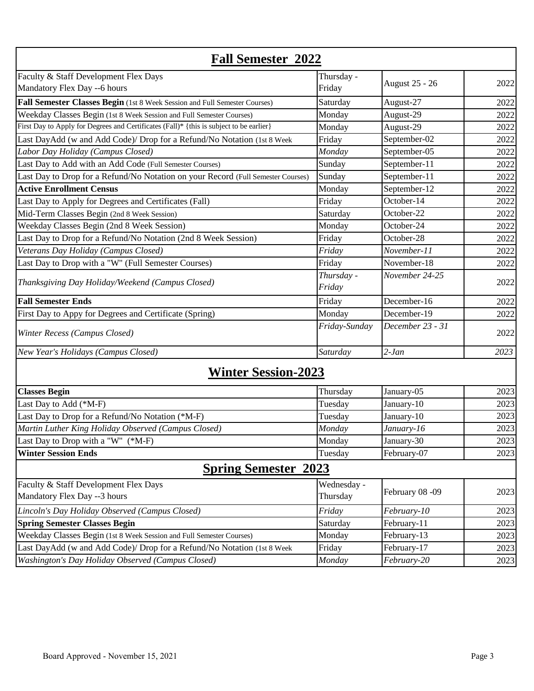| <b>Fall Semester 2022</b>                                                               |               |                       |      |  |  |  |  |  |
|-----------------------------------------------------------------------------------------|---------------|-----------------------|------|--|--|--|--|--|
| Faculty & Staff Development Flex Days                                                   | Thursday -    |                       |      |  |  |  |  |  |
| Mandatory Flex Day -- 6 hours                                                           | Friday        | <b>August 25 - 26</b> | 2022 |  |  |  |  |  |
| Fall Semester Classes Begin (1st 8 Week Session and Full Semester Courses)              | Saturday      | August-27             | 2022 |  |  |  |  |  |
| Weekday Classes Begin (1st 8 Week Session and Full Semester Courses)                    | Monday        | August-29             | 2022 |  |  |  |  |  |
| First Day to Apply for Degrees and Certificates (Fall)* {this is subject to be earlier} | Monday        | August-29             | 2022 |  |  |  |  |  |
| Last DayAdd (w and Add Code)/ Drop for a Refund/No Notation (1st 8 Week                 | Friday        | September-02          | 2022 |  |  |  |  |  |
| Labor Day Holiday (Campus Closed)                                                       | Monday        | September-05          | 2022 |  |  |  |  |  |
| Last Day to Add with an Add Code (Full Semester Courses)                                | Sunday        | September-11          | 2022 |  |  |  |  |  |
| Last Day to Drop for a Refund/No Notation on your Record (Full Semester Courses)        | Sunday        | September-11          | 2022 |  |  |  |  |  |
| <b>Active Enrollment Census</b>                                                         | Monday        | September-12          | 2022 |  |  |  |  |  |
| Last Day to Apply for Degrees and Certificates (Fall)                                   | Friday        | October-14            | 2022 |  |  |  |  |  |
| Mid-Term Classes Begin (2nd 8 Week Session)                                             | Saturday      | October-22            | 2022 |  |  |  |  |  |
| Weekday Classes Begin (2nd 8 Week Session)                                              | Monday        | October-24            | 2022 |  |  |  |  |  |
| Last Day to Drop for a Refund/No Notation (2nd 8 Week Session)                          | Friday        | October-28            | 2022 |  |  |  |  |  |
| Veterans Day Holiday (Campus Closed)                                                    | Friday        | November-11           | 2022 |  |  |  |  |  |
| Last Day to Drop with a "W" (Full Semester Courses)                                     | Friday        | November-18           | 2022 |  |  |  |  |  |
|                                                                                         | Thursday -    | November 24-25        |      |  |  |  |  |  |
| Thanksgiving Day Holiday/Weekend (Campus Closed)                                        | Friday        |                       | 2022 |  |  |  |  |  |
| <b>Fall Semester Ends</b>                                                               | Friday        | December-16           | 2022 |  |  |  |  |  |
| First Day to Appy for Degrees and Certificate (Spring)                                  | Monday        | December-19           | 2022 |  |  |  |  |  |
| Winter Recess (Campus Closed)                                                           | Friday-Sunday | December 23 - 31      | 2022 |  |  |  |  |  |
| New Year's Holidays (Campus Closed)                                                     | Saturday      | $2-Jan$               | 2023 |  |  |  |  |  |
| <b>Winter Session-2023</b>                                                              |               |                       |      |  |  |  |  |  |
| <b>Classes Begin</b>                                                                    | Thursday      | January-05            | 2023 |  |  |  |  |  |
| Last Day to Add (*M-F)                                                                  | Tuesday       | January-10            | 2023 |  |  |  |  |  |
| Last Day to Drop for a Refund/No Notation (*M-F)                                        | Tuesday       | January-10            | 2023 |  |  |  |  |  |
| Martin Luther King Holiday Observed (Campus Closed)                                     | Monday        | January-16            | 2023 |  |  |  |  |  |
| Last Day to Drop with a "W" (*M-F)                                                      | Monday        | January-30            | 2023 |  |  |  |  |  |
| <b>Winter Session Ends</b>                                                              | Tuesday       | February-07           | 2023 |  |  |  |  |  |
| <b>Spring Semester 2023</b>                                                             |               |                       |      |  |  |  |  |  |
| Faculty & Staff Development Flex Days                                                   | Wednesday -   |                       |      |  |  |  |  |  |
| Mandatory Flex Day --3 hours                                                            | Thursday      | February 08 -09       | 2023 |  |  |  |  |  |
| Lincoln's Day Holiday Observed (Campus Closed)                                          | Friday        | February-10           | 2023 |  |  |  |  |  |
| <b>Spring Semester Classes Begin</b>                                                    | Saturday      | February-11           | 2023 |  |  |  |  |  |
| Weekday Classes Begin (1st 8 Week Session and Full Semester Courses)                    | Monday        | February-13           | 2023 |  |  |  |  |  |
| Last DayAdd (w and Add Code)/ Drop for a Refund/No Notation (1st 8 Week                 | Friday        | February-17           | 2023 |  |  |  |  |  |
| Washington's Day Holiday Observed (Campus Closed)                                       | Monday        | February-20           | 2023 |  |  |  |  |  |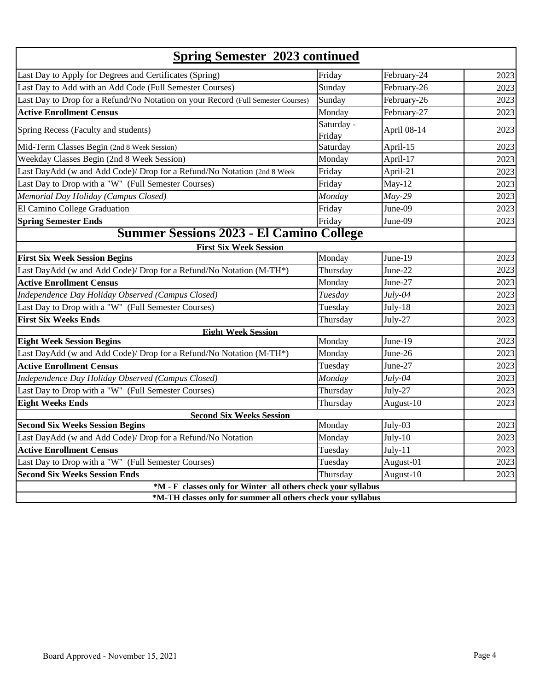|                                                                                  | <b>Spring Semester 2023 continued</b> |             |      |  |  |  |  |  |
|----------------------------------------------------------------------------------|---------------------------------------|-------------|------|--|--|--|--|--|
| Last Day to Apply for Degrees and Certificates (Spring)                          | Friday                                | February-24 | 2023 |  |  |  |  |  |
| Last Day to Add with an Add Code (Full Semester Courses)                         | Sunday                                | February-26 | 2023 |  |  |  |  |  |
| Last Day to Drop for a Refund/No Notation on your Record (Full Semester Courses) | Sunday                                | February-26 | 2023 |  |  |  |  |  |
| <b>Active Enrollment Census</b>                                                  | Monday                                | February-27 | 2023 |  |  |  |  |  |
| Spring Recess (Faculty and students)                                             | Saturday -<br>Friday                  | April 08-14 | 2023 |  |  |  |  |  |
| Mid-Term Classes Begin (2nd 8 Week Session)                                      | Saturday                              | April-15    | 2023 |  |  |  |  |  |
| Weekday Classes Begin (2nd 8 Week Session)                                       | Monday                                | April-17    | 2023 |  |  |  |  |  |
| Last DayAdd (w and Add Code)/ Drop for a Refund/No Notation (2nd 8 Week          | Friday                                | April-21    | 2023 |  |  |  |  |  |
| Last Day to Drop with a "W" (Full Semester Courses)                              | Friday                                | $May-12$    | 2023 |  |  |  |  |  |
| Memorial Day Holiday (Campus Closed)                                             | Monday                                | $May-29$    | 2023 |  |  |  |  |  |
| El Camino College Graduation                                                     | Friday                                | June-09     | 2023 |  |  |  |  |  |
| <b>Spring Semester Ends</b>                                                      | Friday                                | June-09     | 2023 |  |  |  |  |  |
| <b>Summer Sessions 2023 - El Camino College</b>                                  |                                       |             |      |  |  |  |  |  |
| <b>First Six Week Session</b>                                                    |                                       |             |      |  |  |  |  |  |
| <b>First Six Week Session Begins</b>                                             | Monday                                | June-19     | 2023 |  |  |  |  |  |
| Last DayAdd (w and Add Code)/ Drop for a Refund/No Notation (M-TH*)              | Thursday                              | June-22     | 2023 |  |  |  |  |  |
| <b>Active Enrollment Census</b>                                                  | Monday                                | June-27     | 2023 |  |  |  |  |  |
| Independence Day Holiday Observed (Campus Closed)                                | Tuesday                               | $July-04$   | 2023 |  |  |  |  |  |
| Last Day to Drop with a "W" (Full Semester Courses)                              | Tuesday                               | $July-18$   | 2023 |  |  |  |  |  |
| <b>First Six Weeks Ends</b>                                                      | Thursday                              | July-27     | 2023 |  |  |  |  |  |
| <b>Eight Week Session</b>                                                        |                                       |             |      |  |  |  |  |  |
| <b>Eight Week Session Begins</b>                                                 | Monday                                | June-19     | 2023 |  |  |  |  |  |
| Last DayAdd (w and Add Code)/ Drop for a Refund/No Notation (M-TH*)              | Monday                                | June-26     | 2023 |  |  |  |  |  |
| <b>Active Enrollment Census</b>                                                  | Tuesday                               | June-27     | 2023 |  |  |  |  |  |
| Independence Day Holiday Observed (Campus Closed)                                | Monday                                | $July-04$   | 2023 |  |  |  |  |  |
| Last Day to Drop with a "W" (Full Semester Courses)                              | Thursday                              | July-27     | 2023 |  |  |  |  |  |
| <b>Eight Weeks Ends</b>                                                          | Thursday                              | August-10   | 2023 |  |  |  |  |  |
| <b>Second Six Weeks Session</b>                                                  |                                       |             |      |  |  |  |  |  |
| <b>Second Six Weeks Session Begins</b>                                           | Monday                                | July-03     | 2023 |  |  |  |  |  |
| Last DayAdd (w and Add Code)/ Drop for a Refund/No Notation                      | Monday                                | July-10     | 2023 |  |  |  |  |  |
| <b>Active Enrollment Census</b>                                                  | Tuesday                               | $July-11$   | 2023 |  |  |  |  |  |
| Last Day to Drop with a "W" (Full Semester Courses)                              | Tuesday                               | August-01   | 2023 |  |  |  |  |  |
| <b>Second Six Weeks Session Ends</b>                                             | Thursday                              | August-10   | 2023 |  |  |  |  |  |
| *M - F classes only for Winter all others check your syllabus                    |                                       |             |      |  |  |  |  |  |
| *M-TH classes only for summer all others check your syllabus                     |                                       |             |      |  |  |  |  |  |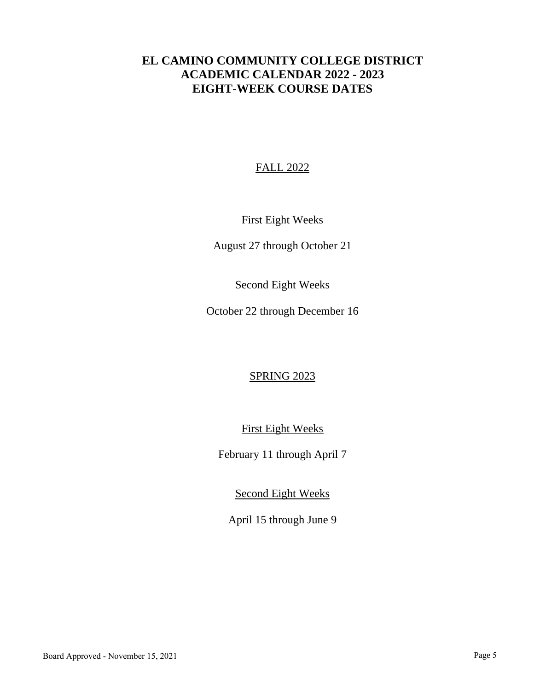# **EL CAMINO COMMUNITY COLLEGE DISTRICT ACADEMIC CALENDAR 2022 - 2023 EIGHT-WEEK COURSE DATES**

### FALL 2022

## First Eight Weeks

August 27 through October 21

#### Second Eight Weeks

October 22 through December 16

#### SPRING 2023

First Eight Weeks

February 11 through April 7

Second Eight Weeks

April 15 through June 9